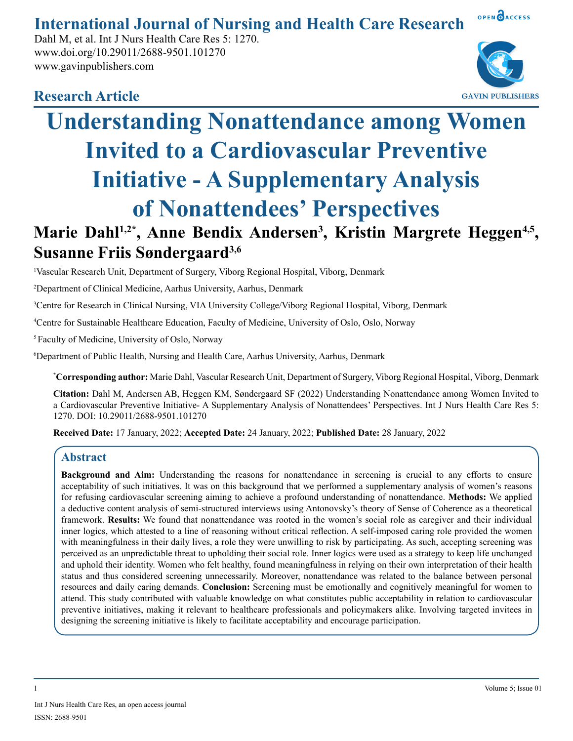## OPEN OACCESS **International Journal of Nursing and Health Care Research**

Dahl M, et al. Int J Nurs Health Care Res 5: 1270. www.doi.org/10.29011/2688-9501.101270 www.gavinpublishers.com



## **Research Article**

# **Understanding Nonattendance among Women Invited to a Cardiovascular Preventive Initiative - A Supplementary Analysis of Nonattendees' Perspectives** Marie Dahl<sup>1,2\*</sup>, Anne Bendix Andersen<sup>3</sup>, Kristin Margrete Heggen<sup>4,5</sup>, **Susanne Friis Søndergaard3,6**

1 Vascular Research Unit, Department of Surgery, Viborg Regional Hospital, Viborg, Denmark

2 Department of Clinical Medicine, Aarhus University, Aarhus, Denmark

3 Centre for Research in Clinical Nursing, VIA University College/Viborg Regional Hospital, Viborg, Denmark

4 Centre for Sustainable Healthcare Education, Faculty of Medicine, University of Oslo, Oslo, Norway

5 Faculty of Medicine, University of Oslo, Norway

6 Department of Public Health, Nursing and Health Care, Aarhus University, Aarhus, Denmark

**\* Corresponding author:** Marie Dahl, Vascular Research Unit, Department of Surgery, Viborg Regional Hospital, Viborg, Denmark

**Citation:** Dahl M, Andersen AB, Heggen KM, Søndergaard SF (2022) Understanding Nonattendance among Women Invited to a Cardiovascular Preventive Initiative- A Supplementary Analysis of Nonattendees' Perspectives. Int J Nurs Health Care Res 5: 1270. DOI: 10.29011/2688-9501.101270

**Received Date:** 17 January, 2022; **Accepted Date:** 24 January, 2022; **Published Date:** 28 January, 2022

## **Abstract**

**Background and Aim:** Understanding the reasons for nonattendance in screening is crucial to any efforts to ensure acceptability of such initiatives. It was on this background that we performed a supplementary analysis of women's reasons for refusing cardiovascular screening aiming to achieve a profound understanding of nonattendance. **Methods:** We applied a deductive content analysis of semi-structured interviews using Antonovsky's theory of Sense of Coherence as a theoretical framework. **Results:** We found that nonattendance was rooted in the women's social role as caregiver and their individual inner logics, which attested to a line of reasoning without critical reflection. A self-imposed caring role provided the women with meaningfulness in their daily lives, a role they were unwilling to risk by participating. As such, accepting screening was perceived as an unpredictable threat to upholding their social role. Inner logics were used as a strategy to keep life unchanged and uphold their identity. Women who felt healthy, found meaningfulness in relying on their own interpretation of their health status and thus considered screening unnecessarily. Moreover, nonattendance was related to the balance between personal resources and daily caring demands. **Conclusion:** Screening must be emotionally and cognitively meaningful for women to attend. This study contributed with valuable knowledge on what constitutes public acceptability in relation to cardiovascular preventive initiatives, making it relevant to healthcare professionals and policymakers alike. Involving targeted invitees in designing the screening initiative is likely to facilitate acceptability and encourage participation.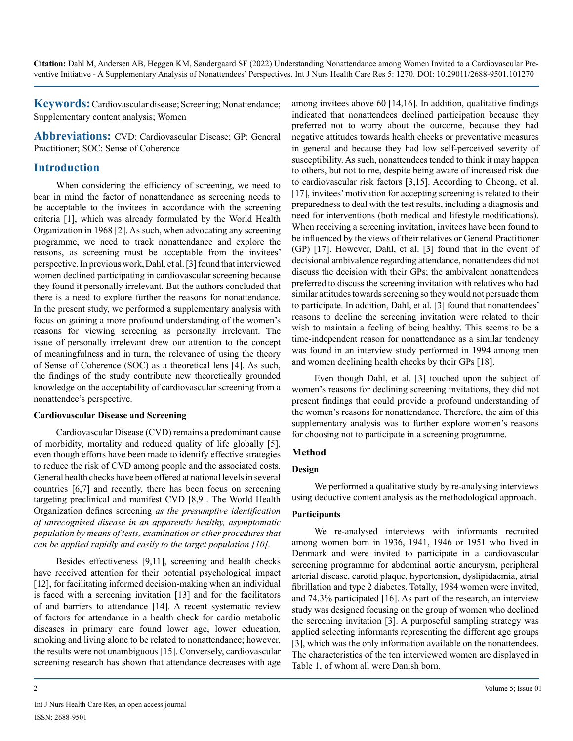**Keywords:**Cardiovascular disease; Screening; Nonattendance; Supplementary content analysis; Women

**Abbreviations:** CVD: Cardiovascular Disease; GP: General Practitioner; SOC: Sense of Coherence

## **Introduction**

When considering the efficiency of screening, we need to bear in mind the factor of nonattendance as screening needs to be acceptable to the invitees in accordance with the screening criteria [1], which was already formulated by the World Health Organization in 1968 [2]. As such, when advocating any screening programme, we need to track nonattendance and explore the reasons, as screening must be acceptable from the invitees' perspective. In previous work, Dahl, et al. [3] found that interviewed women declined participating in cardiovascular screening because they found it personally irrelevant. But the authors concluded that there is a need to explore further the reasons for nonattendance. In the present study, we performed a supplementary analysis with focus on gaining a more profound understanding of the women's reasons for viewing screening as personally irrelevant. The issue of personally irrelevant drew our attention to the concept of meaningfulness and in turn, the relevance of using the theory of Sense of Coherence (SOC) as a theoretical lens [4]. As such, the findings of the study contribute new theoretically grounded knowledge on the acceptability of cardiovascular screening from a nonattendee's perspective.

#### **Cardiovascular Disease and Screening**

Cardiovascular Disease (CVD) remains a predominant cause of morbidity, mortality and reduced quality of life globally [5], even though efforts have been made to identify effective strategies to reduce the risk of CVD among people and the associated costs. General health checks have been offered at national levels in several countries [6,7] and recently, there has been focus on screening targeting preclinical and manifest CVD [8,9]. The World Health Organization defines screening *as the presumptive identification of unrecognised disease in an apparently healthy, asymptomatic population by means of tests, examination or other procedures that can be applied rapidly and easily to the target population [10].*

Besides effectiveness [9,11], screening and health checks have received attention for their potential psychological impact [12], for facilitating informed decision-making when an individual is faced with a screening invitation [13] and for the facilitators of and barriers to attendance [14]. A recent systematic review of factors for attendance in a health check for cardio metabolic diseases in primary care found lower age, lower education, smoking and living alone to be related to nonattendance; however, the results were not unambiguous [15]. Conversely, cardiovascular screening research has shown that attendance decreases with age

among invitees above 60 [14,16]. In addition, qualitative findings indicated that nonattendees declined participation because they preferred not to worry about the outcome, because they had negative attitudes towards health checks or preventative measures in general and because they had low self-perceived severity of susceptibility. As such, nonattendees tended to think it may happen to others, but not to me, despite being aware of increased risk due to cardiovascular risk factors [3,15]. According to Cheong, et al. [17], invitees' motivation for accepting screening is related to their preparedness to deal with the test results, including a diagnosis and need for interventions (both medical and lifestyle modifications). When receiving a screening invitation, invitees have been found to be influenced by the views of their relatives or General Practitioner (GP) [17]. However, Dahl, et al. [3] found that in the event of decisional ambivalence regarding attendance, nonattendees did not discuss the decision with their GPs; the ambivalent nonattendees preferred to discuss the screening invitation with relatives who had similar attitudes towards screening so they would not persuade them to participate. In addition, Dahl, et al. [3] found that nonattendees' reasons to decline the screening invitation were related to their wish to maintain a feeling of being healthy. This seems to be a time-independent reason for nonattendance as a similar tendency was found in an interview study performed in 1994 among men and women declining health checks by their GPs [18].

Even though Dahl, et al. [3] touched upon the subject of women's reasons for declining screening invitations, they did not present findings that could provide a profound understanding of the women's reasons for nonattendance. Therefore, the aim of this supplementary analysis was to further explore women's reasons for choosing not to participate in a screening programme.

## **Method**

#### **Design**

We performed a qualitative study by re-analysing interviews using deductive content analysis as the methodological approach.

### **Participants**

We re-analysed interviews with informants recruited among women born in 1936, 1941, 1946 or 1951 who lived in Denmark and were invited to participate in a cardiovascular screening programme for abdominal aortic aneurysm, peripheral arterial disease, carotid plaque, hypertension, dyslipidaemia, atrial fibrillation and type 2 diabetes. Totally, 1984 women were invited, and 74.3% participated [16]. As part of the research, an interview study was designed focusing on the group of women who declined the screening invitation [3]. A purposeful sampling strategy was applied selecting informants representing the different age groups [3], which was the only information available on the nonattendees. The characteristics of the ten interviewed women are displayed in Table 1, of whom all were Danish born.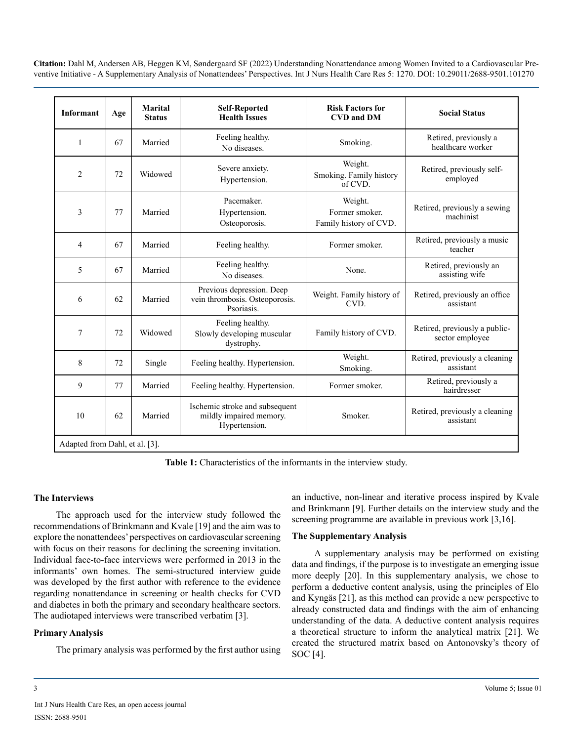| <b>Informant</b>               | Age | <b>Marital</b><br><b>Status</b> | <b>Self-Reported</b><br><b>Health Issues</b>                               | <b>Risk Factors for</b><br><b>CVD and DM</b>        | <b>Social Status</b>                             |
|--------------------------------|-----|---------------------------------|----------------------------------------------------------------------------|-----------------------------------------------------|--------------------------------------------------|
| $\mathbf{1}$                   | 67  | Married                         | Feeling healthy.<br>No diseases.                                           | Smoking.                                            | Retired, previously a<br>healthcare worker       |
| $\overline{2}$                 | 72  | Widowed                         | Severe anxiety.<br>Hypertension.                                           | Weight.<br>Smoking. Family history<br>of CVD.       | Retired, previously self-<br>employed            |
| 3                              | 77  | Married                         | Pacemaker.<br>Hypertension.<br>Osteoporosis.                               | Weight.<br>Former smoker.<br>Family history of CVD. | Retired, previously a sewing<br>machinist        |
| $\overline{4}$                 | 67  | Married                         | Feeling healthy.                                                           | Former smoker.                                      | Retired, previously a music<br>teacher           |
| 5                              | 67  | Married                         | Feeling healthy.<br>No diseases.                                           | None.                                               | Retired, previously an<br>assisting wife         |
| 6                              | 62  | Married                         | Previous depression. Deep<br>vein thrombosis. Osteoporosis.<br>Psoriasis.  | Weight. Family history of<br>CVD.                   | Retired, previously an office<br>assistant       |
| 7                              | 72  | Widowed                         | Feeling healthy.<br>Slowly developing muscular<br>dystrophy.               | Family history of CVD.                              | Retired, previously a public-<br>sector employee |
| 8                              | 72  | Single                          | Feeling healthy. Hypertension.                                             | Weight.<br>Smoking.                                 | Retired, previously a cleaning<br>assistant      |
| 9                              | 77  | Married                         | Feeling healthy. Hypertension.                                             | Former smoker.                                      | Retired, previously a<br>hairdresser             |
| 10                             | 62  | Married                         | Ischemic stroke and subsequent<br>mildly impaired memory.<br>Hypertension. | Smoker.                                             | Retired, previously a cleaning<br>assistant      |
| Adapted from Dahl, et al. [3]. |     |                                 |                                                                            |                                                     |                                                  |

**Table 1:** Characteristics of the informants in the interview study.

#### **The Interviews**

The approach used for the interview study followed the recommendations of Brinkmann and Kvale [19] and the aim was to explore the nonattendees' perspectives on cardiovascular screening with focus on their reasons for declining the screening invitation. Individual face-to-face interviews were performed in 2013 in the informants' own homes. The semi-structured interview guide was developed by the first author with reference to the evidence regarding nonattendance in screening or health checks for CVD and diabetes in both the primary and secondary healthcare sectors. The audiotaped interviews were transcribed verbatim [3].

#### **Primary Analysis**

The primary analysis was performed by the first author using

an inductive, non-linear and iterative process inspired by Kvale and Brinkmann [9]. Further details on the interview study and the screening programme are available in previous work [3,16].

#### **The Supplementary Analysis**

A supplementary analysis may be performed on existing data and findings, if the purpose is to investigate an emerging issue more deeply [20]. In this supplementary analysis, we chose to perform a deductive content analysis, using the principles of Elo and Kyngäs [21], as this method can provide a new perspective to already constructed data and findings with the aim of enhancing understanding of the data. A deductive content analysis requires a theoretical structure to inform the analytical matrix [21]. We created the structured matrix based on Antonovsky's theory of SOC [4].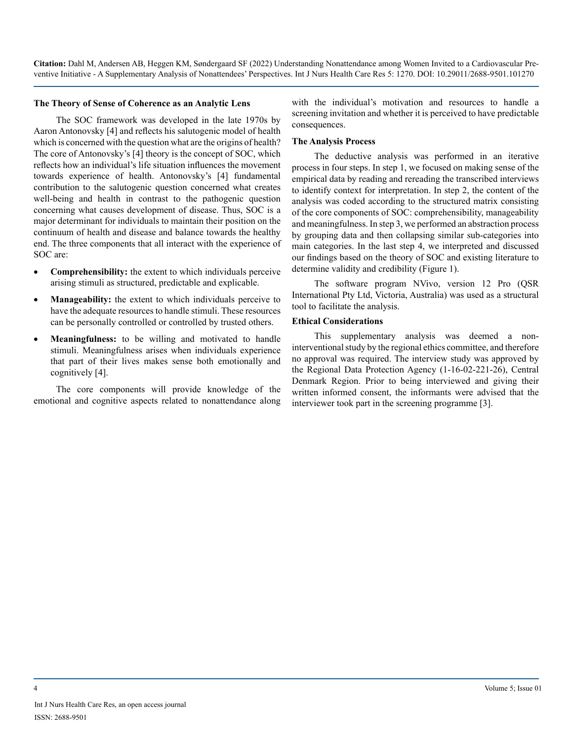#### **The Theory of Sense of Coherence as an Analytic Lens**

The SOC framework was developed in the late 1970s by Aaron Antonovsky [4] and reflects his salutogenic model of health which is concerned with the question what are the origins of health? The core of Antonovsky's [4] theory is the concept of SOC, which reflects how an individual's life situation influences the movement towards experience of health. Antonovsky's [4] fundamental contribution to the salutogenic question concerned what creates well-being and health in contrast to the pathogenic question concerning what causes development of disease. Thus, SOC is a major determinant for individuals to maintain their position on the continuum of health and disease and balance towards the healthy end. The three components that all interact with the experience of SOC are:

- • **Comprehensibility:** the extent to which individuals perceive arising stimuli as structured, predictable and explicable.
- **Manageability:** the extent to which individuals perceive to have the adequate resources to handle stimuli. These resources can be personally controlled or controlled by trusted others.
- **Meaningfulness:** to be willing and motivated to handle stimuli. Meaningfulness arises when individuals experience that part of their lives makes sense both emotionally and cognitively [4].

The core components will provide knowledge of the emotional and cognitive aspects related to nonattendance along with the individual's motivation and resources to handle a screening invitation and whether it is perceived to have predictable consequences.

#### **The Analysis Process**

The deductive analysis was performed in an iterative process in four steps. In step 1, we focused on making sense of the empirical data by reading and rereading the transcribed interviews to identify context for interpretation. In step 2, the content of the analysis was coded according to the structured matrix consisting of the core components of SOC: comprehensibility, manageability and meaningfulness. In step 3, we performed an abstraction process by grouping data and then collapsing similar sub-categories into main categories. In the last step 4, we interpreted and discussed our findings based on the theory of SOC and existing literature to determine validity and credibility (Figure 1).

The software program NVivo, version 12 Pro (QSR International Pty Ltd, Victoria, Australia) was used as a structural tool to facilitate the analysis.

#### **Ethical Considerations**

This supplementary analysis was deemed a noninterventional study by the regional ethics committee, and therefore no approval was required. The interview study was approved by the Regional Data Protection Agency (1-16-02-221-26), Central Denmark Region. Prior to being interviewed and giving their written informed consent, the informants were advised that the interviewer took part in the screening programme [3].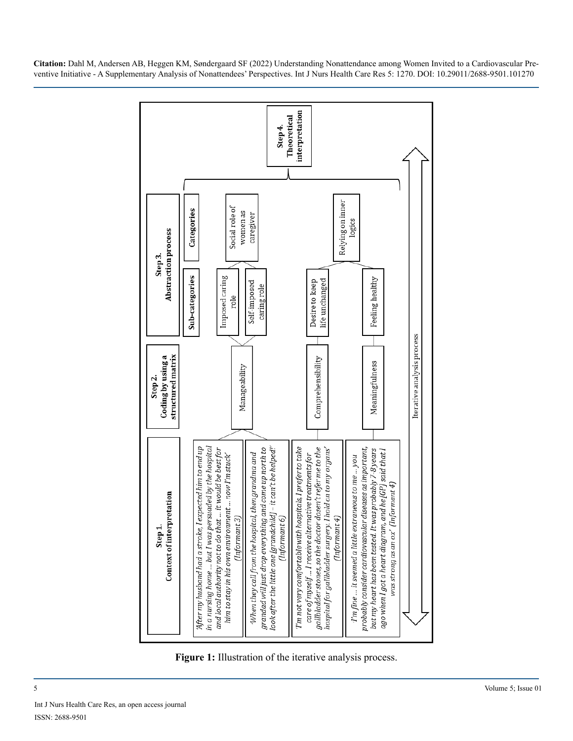

**Figure 1:** Illustration of the iterative analysis process.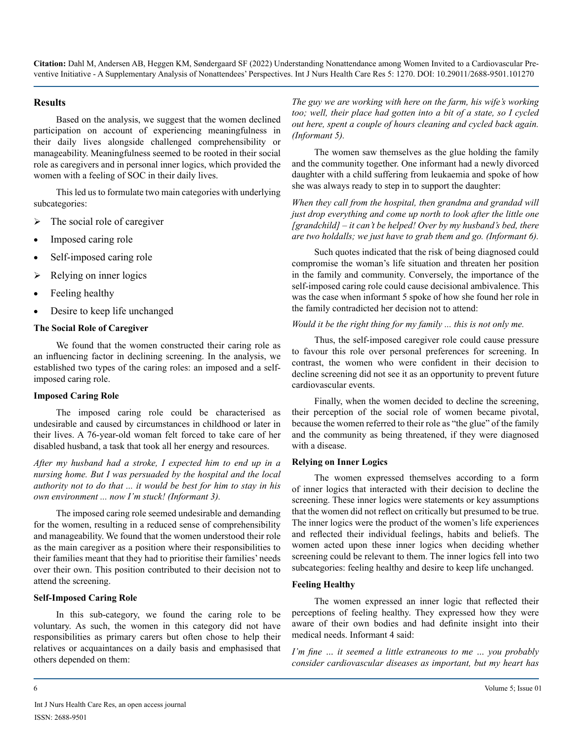#### **Results**

Based on the analysis, we suggest that the women declined participation on account of experiencing meaningfulness in their daily lives alongside challenged comprehensibility or manageability. Meaningfulness seemed to be rooted in their social role as caregivers and in personal inner logics, which provided the women with a feeling of SOC in their daily lives.

This led us to formulate two main categories with underlying subcategories:

- $\triangleright$  The social role of caregiver
- Imposed caring role
- Self-imposed caring role
- $\triangleright$  Relying on inner logics
- Feeling healthy
- Desire to keep life unchanged

#### **The Social Role of Caregiver**

We found that the women constructed their caring role as an influencing factor in declining screening. In the analysis, we established two types of the caring roles: an imposed and a selfimposed caring role.

#### **Imposed Caring Role**

The imposed caring role could be characterised as undesirable and caused by circumstances in childhood or later in their lives. A 76-year-old woman felt forced to take care of her disabled husband, a task that took all her energy and resources.

*After my husband had a stroke, I expected him to end up in a nursing home. But I was persuaded by the hospital and the local authority not to do that ... it would be best for him to stay in his own environment ... now I'm stuck! (Informant 3).* 

The imposed caring role seemed undesirable and demanding for the women, resulting in a reduced sense of comprehensibility and manageability. We found that the women understood their role as the main caregiver as a position where their responsibilities to their families meant that they had to prioritise their families' needs over their own. This position contributed to their decision not to attend the screening.

#### **Self-Imposed Caring Role**

In this sub-category, we found the caring role to be voluntary. As such, the women in this category did not have responsibilities as primary carers but often chose to help their relatives or acquaintances on a daily basis and emphasised that others depended on them:

*The guy we are working with here on the farm, his wife's working too; well, their place had gotten into a bit of a state, so I cycled out here, spent a couple of hours cleaning and cycled back again. (Informant 5).*

The women saw themselves as the glue holding the family and the community together. One informant had a newly divorced daughter with a child suffering from leukaemia and spoke of how she was always ready to step in to support the daughter:

*When they call from the hospital, then grandma and grandad will just drop everything and come up north to look after the little one [grandchild] – it can't be helped! Over by my husband's bed, there are two holdalls; we just have to grab them and go. (Informant 6).*

Such quotes indicated that the risk of being diagnosed could compromise the woman's life situation and threaten her position in the family and community. Conversely, the importance of the self-imposed caring role could cause decisional ambivalence. This was the case when informant 5 spoke of how she found her role in the family contradicted her decision not to attend:

#### *Would it be the right thing for my family ... this is not only me.*

Thus, the self-imposed caregiver role could cause pressure to favour this role over personal preferences for screening. In contrast, the women who were confident in their decision to decline screening did not see it as an opportunity to prevent future cardiovascular events.

Finally, when the women decided to decline the screening, their perception of the social role of women became pivotal, because the women referred to their role as "the glue" of the family and the community as being threatened, if they were diagnosed with a disease.

#### **Relying on Inner Logics**

The women expressed themselves according to a form of inner logics that interacted with their decision to decline the screening. These inner logics were statements or key assumptions that the women did not reflect on critically but presumed to be true. The inner logics were the product of the women's life experiences and reflected their individual feelings, habits and beliefs. The women acted upon these inner logics when deciding whether screening could be relevant to them. The inner logics fell into two subcategories: feeling healthy and desire to keep life unchanged.

#### **Feeling Healthy**

The women expressed an inner logic that reflected their perceptions of feeling healthy. They expressed how they were aware of their own bodies and had definite insight into their medical needs. Informant 4 said:

*I'm fine … it seemed a little extraneous to me … you probably consider cardiovascular diseases as important, but my heart has*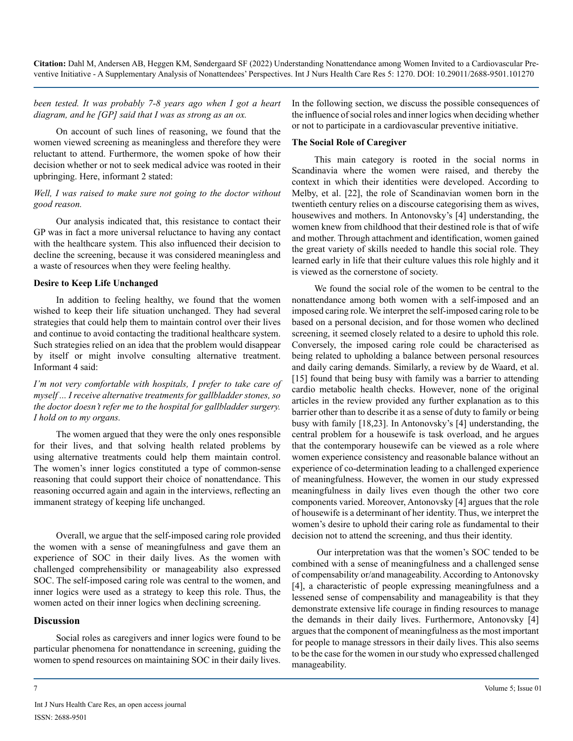*been tested. It was probably 7-8 years ago when I got a heart diagram, and he [GP] said that I was as strong as an ox.*

On account of such lines of reasoning, we found that the women viewed screening as meaningless and therefore they were reluctant to attend. Furthermore, the women spoke of how their decision whether or not to seek medical advice was rooted in their upbringing. Here, informant 2 stated:

#### *Well, I was raised to make sure not going to the doctor without good reason.*

Our analysis indicated that, this resistance to contact their GP was in fact a more universal reluctance to having any contact with the healthcare system. This also influenced their decision to decline the screening, because it was considered meaningless and a waste of resources when they were feeling healthy.

#### **Desire to Keep Life Unchanged**

In addition to feeling healthy, we found that the women wished to keep their life situation unchanged. They had several strategies that could help them to maintain control over their lives and continue to avoid contacting the traditional healthcare system. Such strategies relied on an idea that the problem would disappear by itself or might involve consulting alternative treatment. Informant 4 said:

*I'm not very comfortable with hospitals, I prefer to take care of myself ... I receive alternative treatments for gallbladder stones, so the doctor doesn't refer me to the hospital for gallbladder surgery. I hold on to my organs.*

The women argued that they were the only ones responsible for their lives, and that solving health related problems by using alternative treatments could help them maintain control. The women's inner logics constituted a type of common-sense reasoning that could support their choice of nonattendance. This reasoning occurred again and again in the interviews, reflecting an immanent strategy of keeping life unchanged.

Overall, we argue that the self-imposed caring role provided the women with a sense of meaningfulness and gave them an experience of SOC in their daily lives. As the women with challenged comprehensibility or manageability also expressed SOC. The self-imposed caring role was central to the women, and inner logics were used as a strategy to keep this role. Thus, the women acted on their inner logics when declining screening.

#### **Discussion**

Social roles as caregivers and inner logics were found to be particular phenomena for nonattendance in screening, guiding the women to spend resources on maintaining SOC in their daily lives.

In the following section, we discuss the possible consequences of the influence of social roles and inner logics when deciding whether or not to participate in a cardiovascular preventive initiative.

#### **The Social Role of Caregiver**

This main category is rooted in the social norms in Scandinavia where the women were raised, and thereby the context in which their identities were developed. According to Melby, et al. [22], the role of Scandinavian women born in the twentieth century relies on a discourse categorising them as wives, housewives and mothers. In Antonovsky's [4] understanding, the women knew from childhood that their destined role is that of wife and mother. Through attachment and identification, women gained the great variety of skills needed to handle this social role. They learned early in life that their culture values this role highly and it is viewed as the cornerstone of society.

We found the social role of the women to be central to the nonattendance among both women with a self-imposed and an imposed caring role. We interpret the self-imposed caring role to be based on a personal decision, and for those women who declined screening, it seemed closely related to a desire to uphold this role. Conversely, the imposed caring role could be characterised as being related to upholding a balance between personal resources and daily caring demands. Similarly, a review by de Waard, et al. [15] found that being busy with family was a barrier to attending cardio metabolic health checks. However, none of the original articles in the review provided any further explanation as to this barrier other than to describe it as a sense of duty to family or being busy with family [18,23]. In Antonovsky's [4] understanding, the central problem for a housewife is task overload, and he argues that the contemporary housewife can be viewed as a role where women experience consistency and reasonable balance without an experience of co-determination leading to a challenged experience of meaningfulness. However, the women in our study expressed meaningfulness in daily lives even though the other two core components varied. Moreover, Antonovsky [4] argues that the role of housewife is a determinant of her identity. Thus, we interpret the women's desire to uphold their caring role as fundamental to their decision not to attend the screening, and thus their identity.

 Our interpretation was that the women's SOC tended to be combined with a sense of meaningfulness and a challenged sense of compensability or/and manageability. According to Antonovsky [4], a characteristic of people expressing meaningfulness and a lessened sense of compensability and manageability is that they demonstrate extensive life courage in finding resources to manage the demands in their daily lives. Furthermore, Antonovsky [4] argues that the component of meaningfulness as the most important for people to manage stressors in their daily lives. This also seems to be the case for the women in our study who expressed challenged manageability.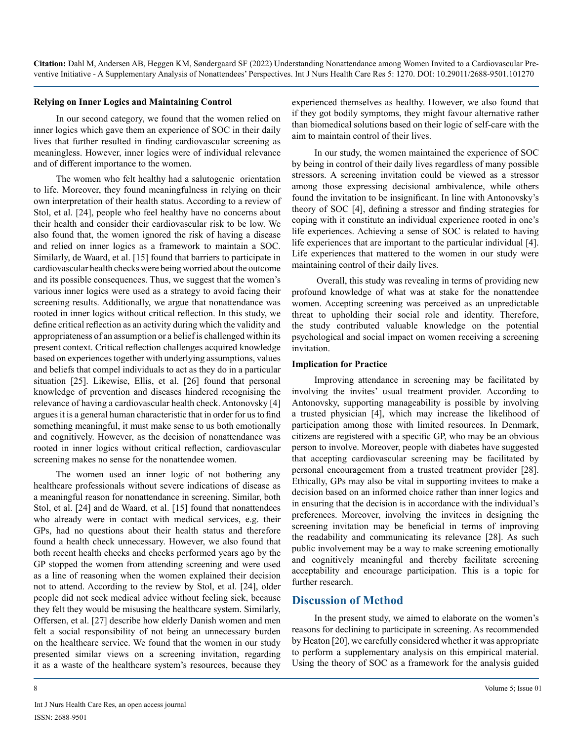#### **Relying on Inner Logics and Maintaining Control**

In our second category, we found that the women relied on inner logics which gave them an experience of SOC in their daily lives that further resulted in finding cardiovascular screening as meaningless. However, inner logics were of individual relevance and of different importance to the women.

The women who felt healthy had a salutogenic orientation to life. Moreover, they found meaningfulness in relying on their own interpretation of their health status. According to a review of Stol, et al. [24], people who feel healthy have no concerns about their health and consider their cardiovascular risk to be low. We also found that, the women ignored the risk of having a disease and relied on inner logics as a framework to maintain a SOC. Similarly, de Waard, et al. [15] found that barriers to participate in cardiovascular health checks were being worried about the outcome and its possible consequences. Thus, we suggest that the women's various inner logics were used as a strategy to avoid facing their screening results. Additionally, we argue that nonattendance was rooted in inner logics without critical reflection. In this study, we define critical reflection as an activity during which the validity and appropriateness of an assumption or a belief is challenged within its present context. Critical reflection challenges acquired knowledge based on experiences together with underlying assumptions, values and beliefs that compel individuals to act as they do in a particular situation [25]. Likewise, Ellis, et al. [26] found that personal knowledge of prevention and diseases hindered recognising the relevance of having a cardiovascular health check. Antonovsky [4] argues it is a general human characteristic that in order for us to find something meaningful, it must make sense to us both emotionally and cognitively. However, as the decision of nonattendance was rooted in inner logics without critical reflection, cardiovascular screening makes no sense for the nonattendee women.

The women used an inner logic of not bothering any healthcare professionals without severe indications of disease as a meaningful reason for nonattendance in screening. Similar, both Stol, et al. [24] and de Waard, et al. [15] found that nonattendees who already were in contact with medical services, e.g. their GPs, had no questions about their health status and therefore found a health check unnecessary. However, we also found that both recent health checks and checks performed years ago by the GP stopped the women from attending screening and were used as a line of reasoning when the women explained their decision not to attend. According to the review by Stol, et al. [24], older people did not seek medical advice without feeling sick, because they felt they would be misusing the healthcare system. Similarly, Offersen, et al. [27] describe how elderly Danish women and men felt a social responsibility of not being an unnecessary burden on the healthcare service. We found that the women in our study presented similar views on a screening invitation, regarding it as a waste of the healthcare system's resources, because they

experienced themselves as healthy. However, we also found that if they got bodily symptoms, they might favour alternative rather than biomedical solutions based on their logic of self-care with the aim to maintain control of their lives.

In our study, the women maintained the experience of SOC by being in control of their daily lives regardless of many possible stressors. A screening invitation could be viewed as a stressor among those expressing decisional ambivalence, while others found the invitation to be insignificant. In line with Antonovsky's theory of SOC [4], defining a stressor and finding strategies for coping with it constitute an individual experience rooted in one's life experiences. Achieving a sense of SOC is related to having life experiences that are important to the particular individual [4]. Life experiences that mattered to the women in our study were maintaining control of their daily lives.

 Overall, this study was revealing in terms of providing new profound knowledge of what was at stake for the nonattendee women. Accepting screening was perceived as an unpredictable threat to upholding their social role and identity. Therefore, the study contributed valuable knowledge on the potential psychological and social impact on women receiving a screening invitation.

#### **Implication for Practice**

Improving attendance in screening may be facilitated by involving the invites' usual treatment provider. According to Antonovsky, supporting manageability is possible by involving a trusted physician [4], which may increase the likelihood of participation among those with limited resources. In Denmark, citizens are registered with a specific GP, who may be an obvious person to involve. Moreover, people with diabetes have suggested that accepting cardiovascular screening may be facilitated by personal encouragement from a trusted treatment provider [28]. Ethically, GPs may also be vital in supporting invitees to make a decision based on an informed choice rather than inner logics and in ensuring that the decision is in accordance with the individual's preferences. Moreover, involving the invitees in designing the screening invitation may be beneficial in terms of improving the readability and communicating its relevance [28]. As such public involvement may be a way to make screening emotionally and cognitively meaningful and thereby facilitate screening acceptability and encourage participation. This is a topic for further research.

## **Discussion of Method**

In the present study, we aimed to elaborate on the women's reasons for declining to participate in screening. As recommended by Heaton [20], we carefully considered whether it was appropriate to perform a supplementary analysis on this empirical material. Using the theory of SOC as a framework for the analysis guided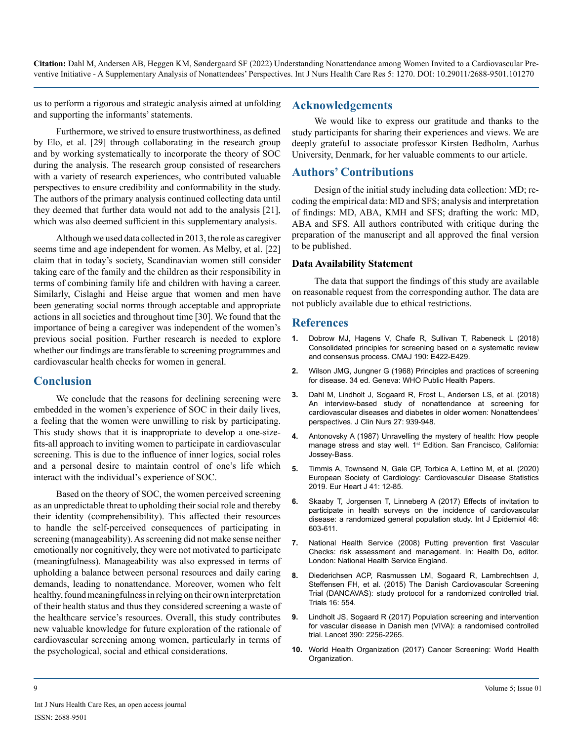us to perform a rigorous and strategic analysis aimed at unfolding and supporting the informants' statements.

Furthermore, we strived to ensure trustworthiness, as defined by Elo, et al. [29] through collaborating in the research group and by working systematically to incorporate the theory of SOC during the analysis. The research group consisted of researchers with a variety of research experiences, who contributed valuable perspectives to ensure credibility and conformability in the study. The authors of the primary analysis continued collecting data until they deemed that further data would not add to the analysis [21], which was also deemed sufficient in this supplementary analysis.

Although we used data collected in 2013, the role as caregiver seems time and age independent for women. As Melby, et al. [22] claim that in today's society, Scandinavian women still consider taking care of the family and the children as their responsibility in terms of combining family life and children with having a career. Similarly, Cislaghi and Heise argue that women and men have been generating social norms through acceptable and appropriate actions in all societies and throughout time [30]. We found that the importance of being a caregiver was independent of the women's previous social position. Further research is needed to explore whether our findings are transferable to screening programmes and cardiovascular health checks for women in general.

## **Conclusion**

We conclude that the reasons for declining screening were embedded in the women's experience of SOC in their daily lives, a feeling that the women were unwilling to risk by participating. This study shows that it is inappropriate to develop a one-sizefits-all approach to inviting women to participate in cardiovascular screening. This is due to the influence of inner logics, social roles and a personal desire to maintain control of one's life which interact with the individual's experience of SOC.

Based on the theory of SOC, the women perceived screening as an unpredictable threat to upholding their social role and thereby their identity (comprehensibility). This affected their resources to handle the self-perceived consequences of participating in screening (manageability). As screening did not make sense neither emotionally nor cognitively, they were not motivated to participate (meaningfulness). Manageability was also expressed in terms of upholding a balance between personal resources and daily caring demands, leading to nonattendance. Moreover, women who felt healthy, found meaningfulness in relying on their own interpretation of their health status and thus they considered screening a waste of the healthcare service's resources. Overall, this study contributes new valuable knowledge for future exploration of the rationale of cardiovascular screening among women, particularly in terms of the psychological, social and ethical considerations.

## **Acknowledgements**

We would like to express our gratitude and thanks to the study participants for sharing their experiences and views. We are deeply grateful to associate professor Kirsten Bedholm, Aarhus University, Denmark, for her valuable comments to our article.

## **Authors' Contributions**

Design of the initial study including data collection: MD; recoding the empirical data: MD and SFS; analysis and interpretation of findings: MD, ABA, KMH and SFS; drafting the work: MD, ABA and SFS. All authors contributed with critique during the preparation of the manuscript and all approved the final version to be published.

#### **Data Availability Statement**

The data that support the findings of this study are available on reasonable request from the corresponding author. The data are not publicly available due to ethical restrictions.

## **References**

- **1.** [Dobrow MJ, Hagens V, Chafe R, Sullivan T, Rabeneck L \(2018\)](https://pubmed.ncbi.nlm.nih.gov/29632037/)  [Consolidated principles for screening based on a systematic review](https://pubmed.ncbi.nlm.nih.gov/29632037/)  [and consensus process. CMAJ 190: E422-E429.](https://pubmed.ncbi.nlm.nih.gov/29632037/)
- **2.** [Wilson JMG, Jungner G \(1968\) Principles and practices of screening](http://apps.who.int/iris/bitstream/handle/10665/37650/WHO_PHP_34.pdf?sequence=17)  [for disease. 34 ed. Geneva: WHO Public Health Papers.](http://apps.who.int/iris/bitstream/handle/10665/37650/WHO_PHP_34.pdf?sequence=17)
- **3.** [Dahl M, Lindholt J, Sogaard R, Frost L, Andersen LS, et al. \(2018\)](https://pubmed.ncbi.nlm.nih.gov/28815826/)  [An interview-based study of nonattendance at screening for](https://pubmed.ncbi.nlm.nih.gov/28815826/) [cardiovascular diseases and diabetes in older women: Nonattendees'](https://pubmed.ncbi.nlm.nih.gov/28815826/)  [perspectives. J Clin Nurs 27: 939-948.](https://pubmed.ncbi.nlm.nih.gov/28815826/)
- **4.** [Antonovsky A \(1987\) Unravelling the mystery of health: How people](https://searchworks.stanford.edu/view/1260798)  manage stress and stay well. 1<sup>st</sup> Edition. San Francisco, California: [Jossey-Bass.](https://searchworks.stanford.edu/view/1260798)
- **5.** [Timmis A, Townsend N, Gale CP, Torbica A, Lettino M, et al. \(2020\)](https://academic.oup.com/eurheartj/article/41/1/12/5670482) [European Society of Cardiology: Cardiovascular Disease Statistics](https://academic.oup.com/eurheartj/article/41/1/12/5670482)  [2019. Eur Heart J 41: 12-85.](https://academic.oup.com/eurheartj/article/41/1/12/5670482)
- **6.** [Skaaby T, Jorgensen T, Linneberg A \(2017\) Effects of invitation to](https://pubmed.ncbi.nlm.nih.gov/28031318/) [participate in health surveys on the incidence of cardiovascular](https://pubmed.ncbi.nlm.nih.gov/28031318/)  [disease: a randomized general population study. Int J Epidemiol 46:](https://pubmed.ncbi.nlm.nih.gov/28031318/)  [603-611.](https://pubmed.ncbi.nlm.nih.gov/28031318/)
- **7.** [National Health Service \(2008\) Putting prevention first Vascular](http://data.parliament.uk/DepositedPapers/Files/DEP2008-0910/DEP2008-0910.pdf)  [Checks: risk assessment and management. In: Health Do, editor.](http://data.parliament.uk/DepositedPapers/Files/DEP2008-0910/DEP2008-0910.pdf)  [London: National Health Service England.](http://data.parliament.uk/DepositedPapers/Files/DEP2008-0910/DEP2008-0910.pdf)
- **8.** [Diederichsen ACP, Rasmussen LM, Sogaard R, Lambrechtsen J,](https://trialsjournal.biomedcentral.com/articles/10.1186/s13063-015-1082-6) [Steffensen FH, et al. \(2015\) The Danish Cardiovascular Screening](https://trialsjournal.biomedcentral.com/articles/10.1186/s13063-015-1082-6)  [Trial \(DANCAVAS\): study protocol for a randomized controlled trial.](https://trialsjournal.biomedcentral.com/articles/10.1186/s13063-015-1082-6)  [Trials 16: 554.](https://trialsjournal.biomedcentral.com/articles/10.1186/s13063-015-1082-6)
- **9.** [Lindholt JS, Sogaard R \(2017\) Population screening and intervention](https://pubmed.ncbi.nlm.nih.gov/28859943/)  [for vascular disease in Danish men \(VIVA\): a randomised controlled](https://pubmed.ncbi.nlm.nih.gov/28859943/)  [trial. Lancet 390: 2256-2265.](https://pubmed.ncbi.nlm.nih.gov/28859943/)
- **10.** [World Health Organization \(2017\) Cancer Screening: World Health](https://www.who.int/cancer/prevention/diagnosis-screening/screening/en/)  [Organization.](https://www.who.int/cancer/prevention/diagnosis-screening/screening/en/)